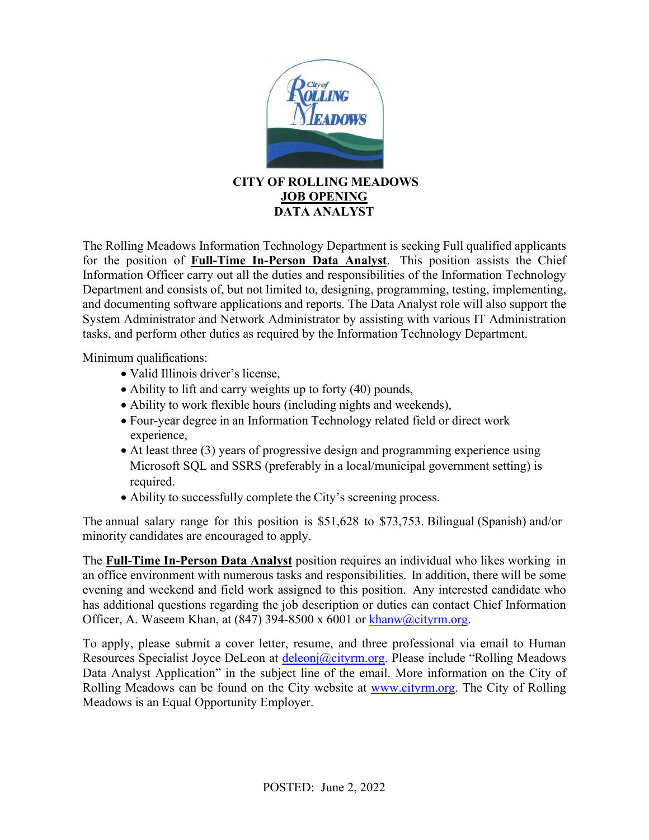

## **CITY OF ROLLING MEADOWS JOB OPENING DATA ANALYST**

The Rolling Meadows Information Technology Department is seeking Full qualified applicants for the position of **Full-Time In-Person Data Analyst**. This position assists the Chief Information Officer carry out all the duties and responsibilities of the Information Technology Department and consists of, but not limited to, designing, programming, testing, implementing, and documenting software applications and reports. The Data Analyst role will also support the System Administrator and Network Administrator by assisting with various IT Administration tasks, and perform other duties as required by the Information Technology Department.

Minimum qualifications:

- Valid Illinois driver's license,
- Ability to lift and carry weights up to forty (40) pounds,
- Ability to work flexible hours (including nights and weekends),
- Four-year degree in an Information Technology related field or direct work experience,
- At least three (3) years of progressive design and programming experience using Microsoft SQL and SSRS (preferably in a local/municipal government setting) is required.
- Ability to successfully complete the City's screening process.

The annual salary range for this position is \$51,628 to \$73,753. Bilingual (Spanish) and/or minority candidates are encouraged to apply.

The **Full-Time In-Person Data Analyst** position requires an individual who likes working in an office environment with numerous tasks and responsibilities. In addition, there will be some evening and weekend and field work assigned to this position. Any interested candidate who has additional questions regarding the job description or duties can contact Chief Information Officer, A. Waseem Khan, at (847) 394-8500 x 6001 or [khanw@cityrm.org.](mailto:khanw@cityrm.org)

To apply, please submit a cover letter, resume, and three professional via email to Human Resources Specialist Joyce DeLeon at *deleonj@cityrm.org*. Please include "Rolling Meadows Data Analyst Application" in the subject line of the email. More information on the City of Rolling Meadows can be found on the City website at [www.cityrm.org.](mailto:www.cityrm.org) The City of Rolling Meadows is an Equal Opportunity Employer.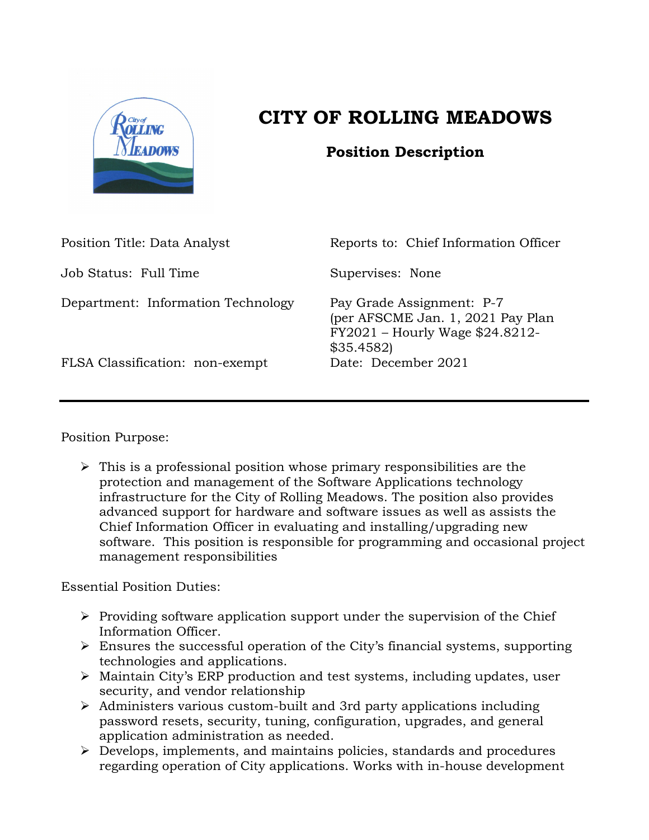

## **CITY OF ROLLING MEADOWS**

## **Position Description**

| Position Title: Data Analyst       | Reports to: Chief Information Officer                                                                          |
|------------------------------------|----------------------------------------------------------------------------------------------------------------|
| Job Status: Full Time              | Supervises: None                                                                                               |
| Department: Information Technology | Pay Grade Assignment: P-7<br>(per AFSCME Jan. 1, 2021 Pay Plan<br>FY2021 - Hourly Wage \$24.8212-<br>\$35.4582 |
| FLSA Classification: non-exempt    | Date: December 2021                                                                                            |

Position Purpose:

 $\triangleright$  This is a professional position whose primary responsibilities are the protection and management of the Software Applications technology infrastructure for the City of Rolling Meadows. The position also provides advanced support for hardware and software issues as well as assists the Chief Information Officer in evaluating and installing/upgrading new software. This position is responsible for programming and occasional project management responsibilities

Essential Position Duties:

- $\triangleright$  Providing software application support under the supervision of the Chief Information Officer.
- $\triangleright$  Ensures the successful operation of the City's financial systems, supporting technologies and applications.
- Maintain City's ERP production and test systems, including updates, user security, and vendor relationship
- $\triangleright$  Administers various custom-built and 3rd party applications including password resets, security, tuning, configuration, upgrades, and general application administration as needed.
- Develops, implements, and maintains policies, standards and procedures regarding operation of City applications. Works with in-house development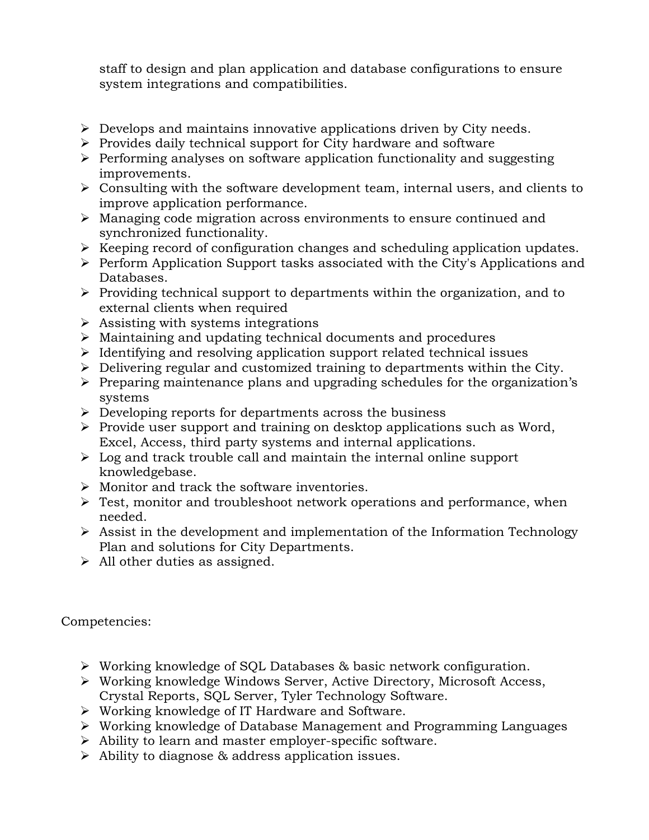staff to design and plan application and database configurations to ensure system integrations and compatibilities.

- $\triangleright$  Develops and maintains innovative applications driven by City needs.
- $\triangleright$  Provides daily technical support for City hardware and software
- $\triangleright$  Performing analyses on software application functionality and suggesting improvements.
- $\triangleright$  Consulting with the software development team, internal users, and clients to improve application performance.
- Managing code migration across environments to ensure continued and synchronized functionality.
- $\triangleright$  Keeping record of configuration changes and scheduling application updates.
- $\triangleright$  Perform Application Support tasks associated with the City's Applications and Databases.
- $\triangleright$  Providing technical support to departments within the organization, and to external clients when required
- $\triangleright$  Assisting with systems integrations
- Maintaining and updating technical documents and procedures
- $\triangleright$  Identifying and resolving application support related technical issues
- $\triangleright$  Delivering regular and customized training to departments within the City.
- $\triangleright$  Preparing maintenance plans and upgrading schedules for the organization's systems
- $\triangleright$  Developing reports for departments across the business
- $\triangleright$  Provide user support and training on desktop applications such as Word, Excel, Access, third party systems and internal applications.
- $\triangleright$  Log and track trouble call and maintain the internal online support knowledgebase.
- $\triangleright$  Monitor and track the software inventories.
- $\triangleright$  Test, monitor and troubleshoot network operations and performance, when needed.
- $\triangleright$  Assist in the development and implementation of the Information Technology Plan and solutions for City Departments.
- $\triangleright$  All other duties as assigned.

Competencies:

- Working knowledge of SQL Databases & basic network configuration.
- Working knowledge Windows Server, Active Directory, Microsoft Access, Crystal Reports, SQL Server, Tyler Technology Software.
- Working knowledge of IT Hardware and Software.
- Working knowledge of Database Management and Programming Languages
- $\triangleright$  Ability to learn and master employer-specific software.
- Ability to diagnose & address application issues.